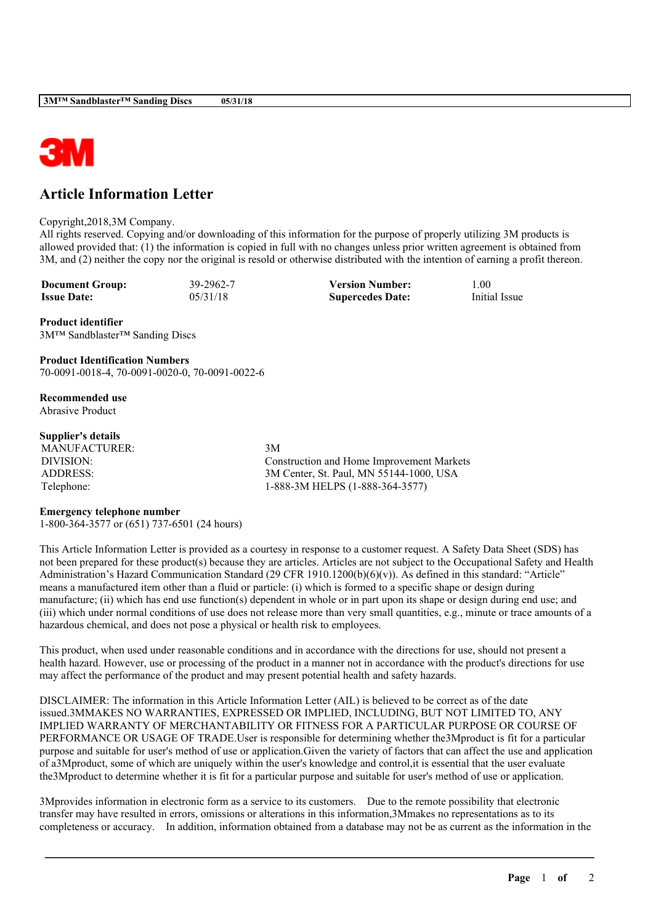

## **Article Information Letter**

## Copyright,2018,3M Company.

All rights reserved. Copying and/or downloading of this information for the purpose of properly utilizing 3M products is allowed provided that: (1) the information is copied in full with no changes unless prior written agreement is obtained from 3M, and (2) neither the copy nor the original is resold or otherwise distributed with the intention of earning a profit thereon.

**Document Group:** 39-2962-7 **Version Number:** 1.00<br> **Issue Date:** 05/31/18 **Sunercedes Date:** Initial Issue **Issue Date:** 05/31/18 **Supercedes Date:** 

**Product identifier** 3M™ Sandblaster™ Sanding Discs

**Product Identification Numbers** 70-0091-0018-4, 70-0091-0020-0, 70-0091-0022-6

**Recommended use** Abrasive Product

## **Supplier's details**

MANUFACTURER: 3M

DIVISION: Construction and Home Improvement Markets ADDRESS: 3M Center, St. Paul, MN 55144-1000, USA Telephone: 1-888-3M HELPS (1-888-364-3577)

## **Emergency telephone number**

1-800-364-3577 or (651) 737-6501 (24 hours)

This Article Information Letter is provided as a courtesy in response to a customer request. A Safety Data Sheet (SDS) has not been prepared for these product(s) because they are articles. Articles are not subject to the Occupational Safety and Health Administration's Hazard Communication Standard (29 CFR 1910.1200(b)(6)(v)). As defined in this standard: "Article" means a manufactured item other than a fluid or particle: (i) which is formed to a specific shape or design during manufacture; (ii) which has end use function(s) dependent in whole or in part upon its shape or design during end use; and (iii) which under normal conditions of use does not release more than very small quantities, e.g., minute or trace amounts of a hazardous chemical, and does not pose a physical or health risk to employees.

This product, when used under reasonable conditions and in accordance with the directions for use, should not present a health hazard. However, use or processing of the product in a manner not in accordance with the product's directions for use may affect the performance of the product and may present potential health and safety hazards.

DISCLAIMER: The information in this Article Information Letter (AIL) is believed to be correct as of the date issued.3MMAKES NO WARRANTIES, EXPRESSED OR IMPLIED, INCLUDING, BUT NOT LIMITED TO, ANY IMPLIED WARRANTY OF MERCHANTABILITY OR FITNESS FOR A PARTICULAR PURPOSE OR COURSE OF PERFORMANCE OR USAGE OF TRADE.User is responsible for determining whether the3Mproduct is fit for a particular purpose and suitable for user's method of use or application.Given the variety of factors that can affect the use and application of a3Mproduct, some of which are uniquely within the user's knowledge and control,it is essential that the user evaluate the3Mproduct to determine whether it is fit for a particular purpose and suitable for user's method of use or application.

3Mprovides information in electronic form as a service to its customers. Due to the remote possibility that electronic transfer may have resulted in errors, omissions or alterations in this information,3Mmakes no representations as to its completeness or accuracy. In addition, information obtained from a database may not be as current as the information in the

\_\_\_\_\_\_\_\_\_\_\_\_\_\_\_\_\_\_\_\_\_\_\_\_\_\_\_\_\_\_\_\_\_\_\_\_\_\_\_\_\_\_\_\_\_\_\_\_\_\_\_\_\_\_\_\_\_\_\_\_\_\_\_\_\_\_\_\_\_\_\_\_\_\_\_\_\_\_\_\_\_\_\_\_\_\_\_\_\_\_